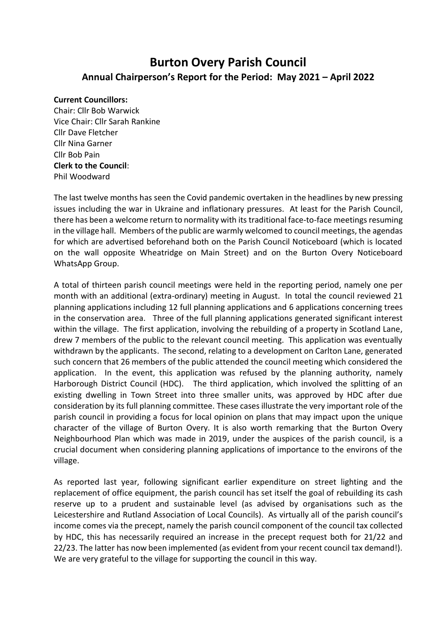## **Burton Overy Parish Council Annual Chairperson's Report for the Period: May 2021 – April 2022**

## **Current Councillors:**

Chair: Cllr Bob Warwick Vice Chair: Cllr Sarah Rankine Cllr Dave Fletcher Cllr Nina Garner Cllr Bob Pain **Clerk to the Council**: Phil Woodward

The last twelve months has seen the Covid pandemic overtaken in the headlines by new pressing issues including the war in Ukraine and inflationary pressures. At least for the Parish Council, there has been a welcome return to normality with its traditional face-to-face meetings resuming in the village hall. Members of the public are warmly welcomed to council meetings, the agendas for which are advertised beforehand both on the Parish Council Noticeboard (which is located on the wall opposite Wheatridge on Main Street) and on the Burton Overy Noticeboard WhatsApp Group.

A total of thirteen parish council meetings were held in the reporting period, namely one per month with an additional (extra-ordinary) meeting in August. In total the council reviewed 21 planning applications including 12 full planning applications and 6 applications concerning trees in the conservation area. Three of the full planning applications generated significant interest within the village. The first application, involving the rebuilding of a property in Scotland Lane, drew 7 members of the public to the relevant council meeting. This application was eventually withdrawn by the applicants. The second, relating to a development on Carlton Lane, generated such concern that 26 members of the public attended the council meeting which considered the application. In the event, this application was refused by the planning authority, namely Harborough District Council (HDC). The third application, which involved the splitting of an existing dwelling in Town Street into three smaller units, was approved by HDC after due consideration by its full planning committee. These cases illustrate the very important role of the parish council in providing a focus for local opinion on plans that may impact upon the unique character of the village of Burton Overy. It is also worth remarking that the Burton Overy Neighbourhood Plan which was made in 2019, under the auspices of the parish council, is a crucial document when considering planning applications of importance to the environs of the village.

As reported last year, following significant earlier expenditure on street lighting and the replacement of office equipment, the parish council has set itself the goal of rebuilding its cash reserve up to a prudent and sustainable level (as advised by organisations such as the Leicestershire and Rutland Association of Local Councils). As virtually all of the parish council's income comes via the precept, namely the parish council component of the council tax collected by HDC, this has necessarily required an increase in the precept request both for 21/22 and 22/23. The latter has now been implemented (as evident from your recent council tax demand!). We are very grateful to the village for supporting the council in this way.